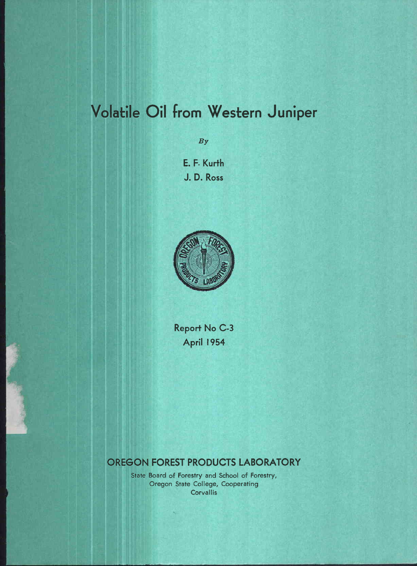# Volatile Oil from Western Juniper

By

E. F. Kurth J. D. Ross



Report No C-3 April 1954

# OREGON FOREST PRODUCTS LABORATORY

State Board of Forestry and School of Forestry, Oregon State College, Cooperating **Corvallis**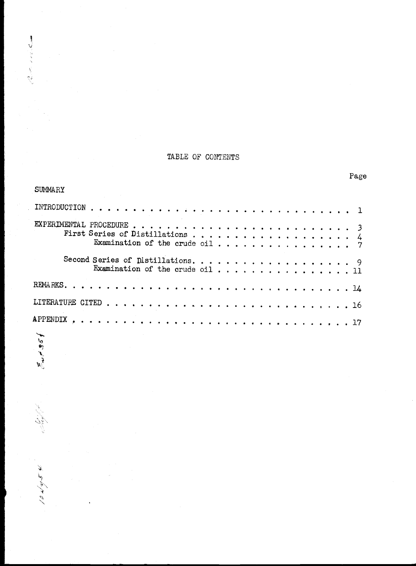## TABLE OF CONTENTS

 $\label{eq:2.1} \sqrt{2\cdot\omega^2} = 2\cdot\omega_0\cdot\mathcal{L}_{\text{max}}$ 

 $\left\langle \mathcal{A} \right\rangle_{\mathcal{B}} \mathcal{L}^{k} / \mathcal{H} \left\langle \mathcal{A} \right\rangle_{\mathcal{A}}$ 

Page

| <b>SUMMARY</b>                  |
|---------------------------------|
|                                 |
|                                 |
| Examination of the crude oil 11 |
|                                 |
|                                 |
|                                 |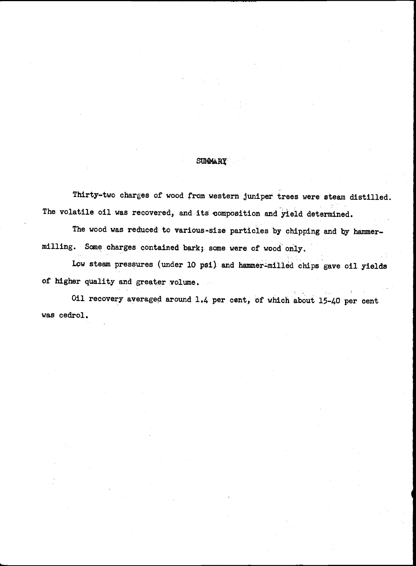### **SUMMARY**

Thirty-two charges of wood from western juniper trees were steam distilled. The volatile oil was recovered, and its composition and yield determined.

The wood was reduced to various-size particles by chipping and by hammermilling. Some charges contained bark; some were of wood only.

Low steam pressures (under 10 psi) and hammer-milled chips gave oil yields of higher quality and greater volume.

Oil recovery averaged around 1.4 per cent, of which about 15-40 per cent was cedrol,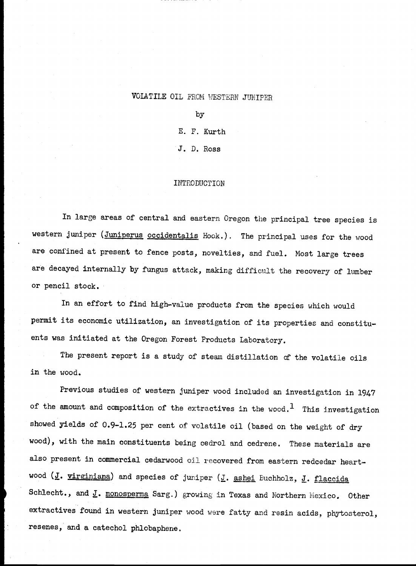### VOLATILE OIL FROM WESTERN JUNIPER

by

E. F. Kurth

J. D. Ross

### INTRODUCTION

In large areas of central and eastern Oregon the principal tree species is western juniper (Juniperus occidentalis Hook.). The principal uses for the wood are confined at present to fence posts, novelties, and fuel. Most large trees are decayed internally by fungus attack, making difficult the recovery of lumber or pencil stock.

In an effort to find high-value products from the species which would permit its economic utilization, an investigation of its properties and constituents was initiated at the Oregon Forest Products Laboratory.

The present report is a study of steam distillation of the volatile oils in the wood.

Previous studies of western juniper wood included an investigation in 1947 of the amount and composition of the extractives in the wood.<sup>1</sup> This investigation showed yields of 0.9-1.25 per cent of volatile oil (based on the weight of dry wood), with the main constituents being cedrol and cedrene. These materials are also present in commercial cedarwood oil recovered from eastern redcedar heartwood  $(J.$  virginiana) and species of juniper  $(J.$  ashei Buchholz,  $J.$  flaccida Schlecht., and J. monosperma Sarg.) growing in Texas and Northern Mexico. Other extractives found in western juniper wood were fatty and resin acids, phytosterol, resenes, and a catechol phiobaphene,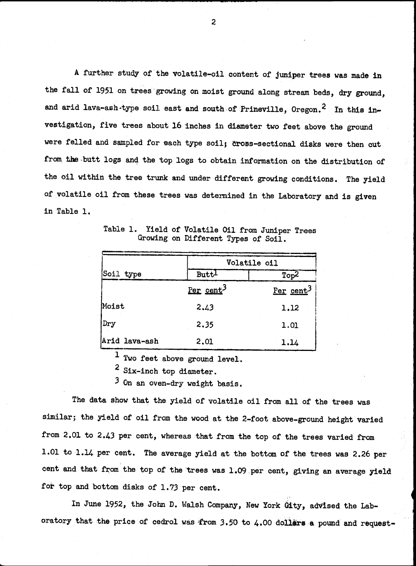A further study of the volatile-oil content of juniper trees was made in the fall of 1951 on trees growing on moist ground along stream beds, dry ground, and arid lava-ash-type soil east and south of Prineville, Oregon.<sup>2</sup> In this investigation, five trees about 16 inches in diameter two feet above the ground were felled and sampled for each type soil; cross-sectional disks were then cut from the butt logs and the top logs to obtain information on the distribution of the oil within the tree trunk and under different growing conditions. The yield of volatile oil from these trees was determined in the Laboratory and is given in Table 1.

|               |                       | Volatile oil          |
|---------------|-----------------------|-----------------------|
| Soil type     | Butt <sup>1</sup>     | Top <sup>2</sup>      |
|               | Per cent <sup>3</sup> | Per cent <sup>3</sup> |
| Moist         | 2.43                  | 1.12                  |
| Dry           | 2.35                  | 1.01                  |
| Arid lava-ash | 2.01                  | 1.14                  |

Table 1. Yield of Volatile Oil from Juniper Trees Growing on Different Types of Soil.

<sup>1</sup> Two feet above ground level.

<sup>2</sup> Six-inch top diameter.

3 On an oven-dry weight basis.

The data show that the yield of volatile oil from all of the trees was similar; the yield of oil from the wood at the 2-foot above-ground height varied from 2.01 to 2.43 per cent, whereas that from the top of the trees varied from 1.01 to 1.14 per cent. The average yield at the bottom of the trees was 2.26 per cent and that from the top of the trees was 1.09 per cent, giving an average yield for top and bottom disks of 1.73 per cent.

In June 1952, the John D. Walsh Company, New York Gity, advised the Laboratory that the price of cedrol was from 3.50 to 4.00 dollars a pound and request-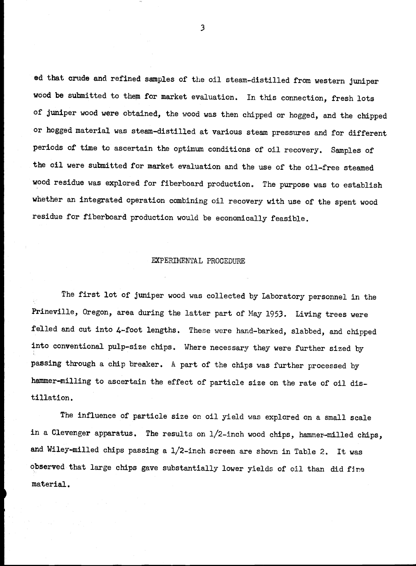ed that crude and refined samples of the oil steam-distilled from western juniper wood be submitted to them for market evaluation. In this connection, fresh lots of juniper wood were obtained, the wood was then chipped or hogged, and the chipped or hogged material was steam-distilled at various steam pressures and for different periods of time to ascertain the optimum conditions of oil recovery. Samples of the oil were submitted for market evaluation and the use of the oil-free steamed wood residue was explored for fiberboard production, The purpose was to establish whether an integrated operation combining oil recovery with use of the spent wood residue for fiberboard production would be economically feasible.

### EXPERIMENTAL PROCEDURE

The first lot of juniper wood was collected by Laboratory personnel in the Prineville, Oregon, area during the latter part of May 1953. Living trees were felled and cut into 4-foot lengths, These were hand-barked, slabbed, and chipped into conventional pulp-size chips. Where necessary they were further sized by passing through a chip breaker. A part of the chips was further processed by hammer-milling to ascertain the effect of particle size on the rate of oil distillation.

The Influence of particle size on oil yield was explored on a small scale in a Clevenger apparatus. The results on 1/2-inch wood chips, hammer-milled chips, and Wiley-milled chips passing a 1/2-inch screen are shown in Table 2. It was observed that large chips gave substantially lower yields of oil than did fire material.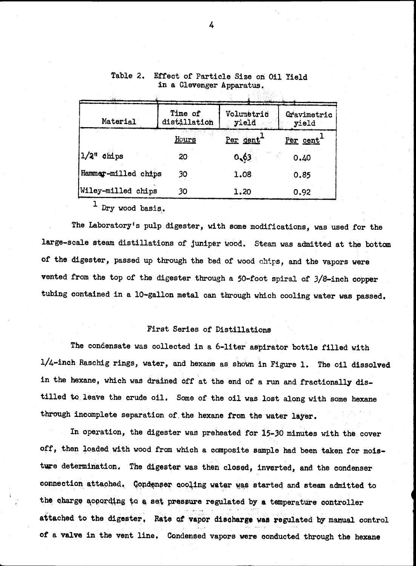| Material                 | Time of<br>distillation | Volumetric<br>yield | Gravimetric<br>yield |
|--------------------------|-------------------------|---------------------|----------------------|
|                          | Hours                   | Per dent            | Per cent             |
| $1/2$ <sup>"</sup> chips | 20                      | 0,63                | 0.40                 |
| Hammer-milled chips      | 30                      | 1.08                | 0.85                 |
| Wiley-milled chips       | 30                      | 1.20                | 0.92                 |
|                          |                         |                     |                      |

### Table 2. Effect of Particle Size on Oil Yield in a Clevenger Apparatus.

Dry wood basis.

The Laboratory's pulp digester, with some modifications, was used for the large-scale steam distillations of juniper tiood. Steam was admitted at the bottom of the digester, passed up through the bed of wood chips, and the vapors were vented from the top of the digester through a 50-foot spiral of 3/8-inch copper tubing contained in a 10-gallon metal can through which cooling water was passed.

### First Series of Distillations

The condensate was collected in a 6-liter aspirator bottle filled with 1/4-inch Raschig rings, water, and hexane as shown in Figure 1. The oil dissolved in the hexane, which was drained off at the end of a run and fractionally distilled to leave the crude oil. Some of the oil was lost along with some hexane through incomplete separation of the hexane from the water layer.

In operation, the digester was preheated for 15-30 minutes with the cover off, then loaded with wood from which a composite sample had been taken for moleture determination. The digester was then closed, inverted, and the condenser connection attached. Gondenser cooling water was started and steam admitted to the charge according to a set pressure regulated by a temperature controller attached to the digester, Rate of vapor discharge was regulated by manual control of a valve in the vent line, Condensed vapors were conducted through the hexane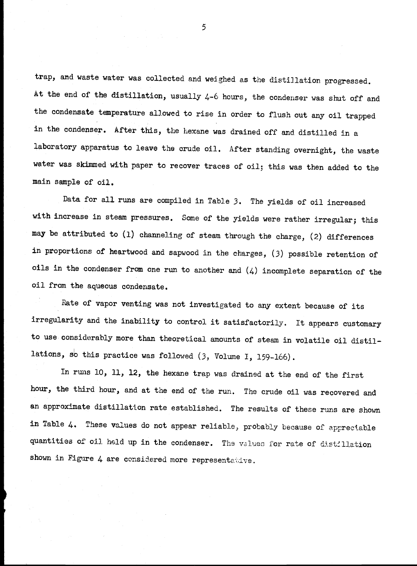trap, and waste water was collected and weighed as the distillation progressed. At the end of the distillation, usually 4-6 hours, the condenser was shut off and the condensate temperature allowed to rise in order to flush out any oil trapped in the condenser. After this, the hexane was drained off and distilled in a laboratory apparatus to leave the crude oil. After standing overnight, the waste water was skimmed with paper to recover traces of oil; this was then added to the main sample of oil.

Data for all runs are compiled in Table 3. The yields of oil increased with increase in steam pressures. Some of the yields were rather irregular; this may be attributed to (1) channeling of steam through the charge, (2) differences in proportions of heartwood and sapwood in the charges, (3) possible retention of oils in the condenser from one run to another and  $(4)$  incomplete separation of the oil from the aqueous condensate.

Rate of vapor venting was not investigated to any extent because of its irregularity and the inability to control it satisfactorily. It appears customary to use considerably more than theoretical amounts of steam in volatile oil distillations, so this practice was followed (3, Volume I, 159-166).

In runs 10, U, 12, the hexane trap was drained at the end of the first hour, the third hour, and at the end of the run. The crude oil was recovered and an approximate distillation rate established. The results of these runs are shown in Table 4. These values do not appear reliable, probably because of appreciable quantities of oil held up in the condenser. The values for rate of distillation shown in Figure 4 are considered more representative.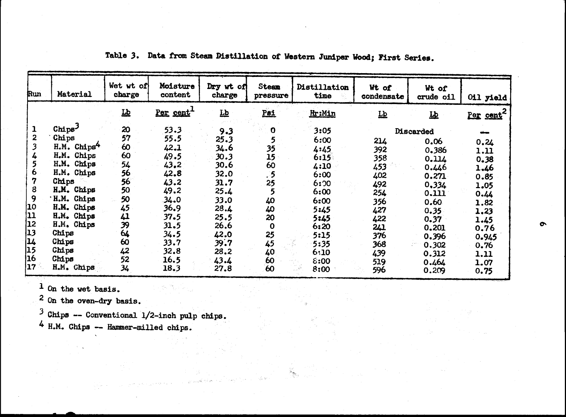| Run    | Material                                         | Wet wt of<br>charge | Moisture<br>content   | Dry wt of<br>charge     | Steam<br>pressure | Distillation<br>time | Wt of<br>condensate                            | Wt of<br>crude oil | 011 yield             |
|--------|--------------------------------------------------|---------------------|-----------------------|-------------------------|-------------------|----------------------|------------------------------------------------|--------------------|-----------------------|
|        |                                                  | 丛                   | Per cent <sup>1</sup> | $\overline{\mathbf{p}}$ | Psi               | Hr:Min               | $\underline{\mathbf{L}}\underline{\mathbf{b}}$ | 巫                  | Per cent <sup>2</sup> |
| ı      | Chips <sup>3</sup>                               | 20                  | 53.3                  | 9.3                     | $\mathbf 0$       | 3:05                 |                                                | Discarded          |                       |
| 2      | Chips                                            | 57                  | 55.5                  | 25.3                    | 5                 | 6:00                 | 214                                            |                    |                       |
| 3      | H.M. Chips <sup>4</sup>                          | 60                  | 42.1                  | 34.6                    | 35                | 4:45                 | 392                                            | 0.06<br>0,386      | 0.24                  |
| 4      | H.M. Chips                                       | 60                  | 49.5                  | 30.3                    | 15                | 6:15                 | 358                                            | 0.114              | 1.11                  |
| 5      | H.M. Chips                                       | 54                  | 43.2                  | 30.6                    | 60                | 4:10                 | 453                                            | 0.446              | 0.38                  |
| 6      | H.M. Chips                                       | 56                  | 42.8                  | 32.0                    | .5                | 6:00                 | 402                                            | 0.271              | 1.46<br>0.85          |
| 7      | Chips                                            | 56                  | 43.2                  | 31.7                    | 25                | 6:20                 | 492                                            | 0,334              | 1.05                  |
| 8      | H.M. Chips                                       | 50                  | 49.2                  | 25.4                    | 5                 | 6:00                 | 254                                            | 0.111              | 0.44                  |
| 9      | 'H.M. Chips                                      | 50                  | 34.0                  | 33.0                    | 40                | 6:00                 | 356                                            | 0.60               | 1.82                  |
| 10     | H.M. Chips                                       | 45                  | 36.9                  | 28.4                    | 40                | 5:45                 | 427                                            | 0.35               | 1.23                  |
| 11     | H.M. Chips                                       | $\boldsymbol{\mu}$  | 37.5                  | 25.5                    | 20                | 5:45                 | 422                                            | 0.37               | 1.45                  |
| 12     | H.M. Chips                                       | 39                  | 31.5                  | 26.6                    | $\mathbf 0$       | 6:20                 | 241                                            | 0,201              | 0.76                  |
| 13     | Chips                                            | 64                  | 34.5                  | 42.0                    | 25                | 5:15                 | 376                                            | 0.396              | 0.945                 |
| 14     | Chips                                            | 60                  | 33.7                  | 39.7                    | 45                | 5:35                 | 368                                            | 0.302              | 0.76                  |
| 15     | Chips                                            | 42                  | 32.8                  | 28.2                    | 40                | 6:10                 | 439                                            | 0.312              | 1.11                  |
| 16     | Chips                                            | 52                  | 16.5                  | 43.4                    | 60                | 8:00                 | 519                                            | 0.464              | 1.07                  |
| $17 -$ | H.M. Chips                                       | 34                  | 18.3                  | 27.8                    | 60 <sup>°</sup>   | 8:00                 | 596                                            | 0.209              | 0.75                  |
|        | On the wet basis.                                |                     |                       |                         |                   |                      |                                                |                    |                       |
|        | On the oven-dry basis.                           |                     |                       |                         |                   |                      |                                                |                    |                       |
|        | Chips $-$ - Conventional $1/2$ -inch pulp chips. |                     |                       |                         |                   |                      |                                                |                    |                       |
|        | 4 H.M. Chips -- Hammer-milled chips.             |                     |                       |                         |                   |                      |                                                |                    |                       |
|        |                                                  |                     |                       |                         |                   |                      |                                                |                    |                       |
|        |                                                  |                     |                       |                         |                   |                      |                                                |                    |                       |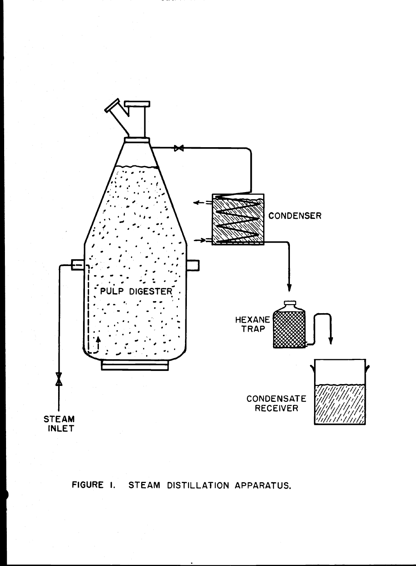

# FIGURE I. STEAM DISTILLATION APPARATUS.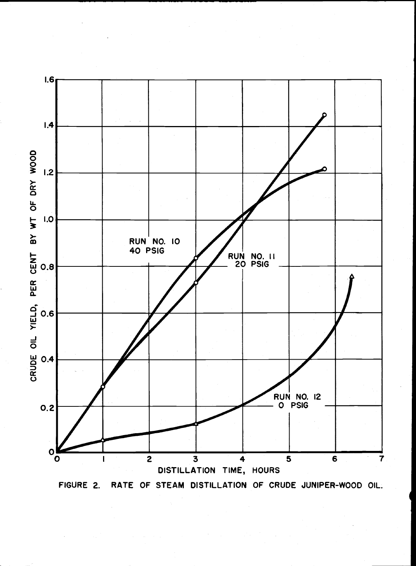

FIGURE 2. RATE OF STEAM DISTILLATION OF CRUDE JUNIPER-WOOD OIL.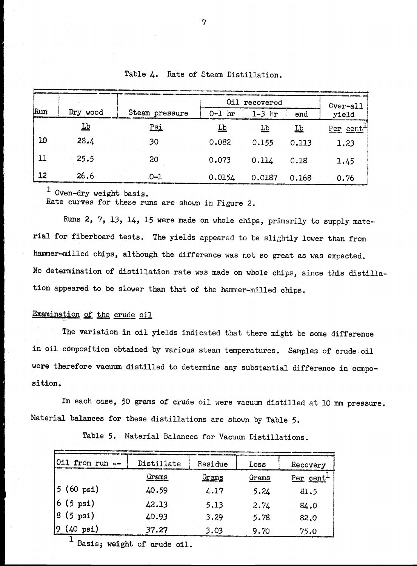|                 |                          |                |           | Oil recovered |           | Over-all  |
|-----------------|--------------------------|----------------|-----------|---------------|-----------|-----------|
| Run             | Dry wood                 | Steam pressure | $0-1$ hr  | $1-3$ hr      | end       | yield     |
|                 | $\underline{\mathbf{L}}$ | <u>Psi</u>     | <u>Lb</u> | <u>Lb</u>     | <u>Lb</u> | Per cent+ |
| 10              | 28.4                     | 30             | 0.082     | 0.155         | 0.113     | 1.23      |
| 11              | 25.5                     | 20             | 0.073     | 0.114         | 0.18      | 1.45      |
| $\overline{12}$ | 26.6                     | $0 - 1$        | 0.0154    | 0.0187        | 0.168     | 0.76      |

Table 4. Rate of Steam Distillation.

<sup>1</sup> Oven-dry weight basis.

Rate curves for these runs are shown in Figure 2.

Runs 2, 7, 13, 14, 15 were made on whole chips, primarily to supply material for fiberboard tests. The yields appeared to be slightly lower than from hammer-milled chips, although the difference was not so great as was expected. No determination of distillation rate was made on whole chips, since this distillation appeared to be slower than that of the hammer-milled chips,

### Examination of the crude oil

The variation in oil yields indicated that there might be some difference in oil composition obtained by various steam temperatures, Samples of crude oil were therefore vacuum distilled to determine any substantial difference in composition.

In each case, 50 grams of crude oil were vacuum distilled at 10 mm pressure. Material balances for these distillations are shown by Table 5.

| Oil from run --     | Distillate   | Residue      | Loss  | Recovery              |
|---------------------|--------------|--------------|-------|-----------------------|
|                     | <u>Grams</u> | <u>Grams</u> | Grams | Per cent <sup>1</sup> |
| $5(60 \text{ psi})$ | 40.59        | 4.17         | 5.24  | 81.5                  |
| $6(5 \text{ psi})$  | 42.13        | 5.13         | 2.74  | 84.0                  |
| $8(5 \text{ psi})$  | 40.93        | 3.29         | 5.78  | 82.0                  |
| $9(40 \text{ psi})$ | 37.27        | 3.03         | 9.70  | 75.0                  |

Table 5. Material Balances for Vacuum Distillations.

Basis; weight of crude oil.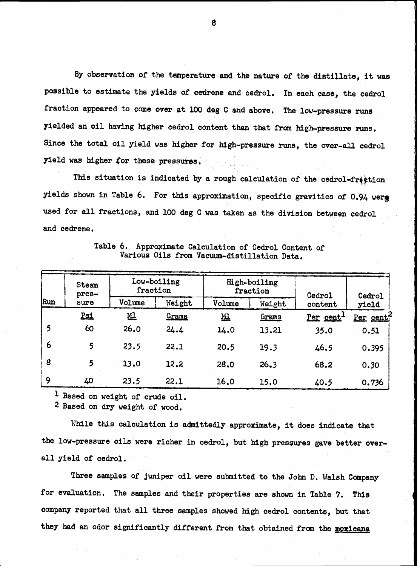By observation of the temperature and the nature of the distillate, it was possible to estimate the yields of cedrene and cedrol. In each case, the cedrol fraction appeared to come over at 100 deg C and above. The low-pressure runs yielded an oil having higher cedrol content than that from high-pressure runs. Since the total oil yield was higher for high-pressure runs, the over-all cedrol yield was higher for these pressures.

This situation is indicated by a rough calculation of the cedrol-fraction yields shown in Table 6. For this approximation, specific gravities of 0.94 were used for all fractions, and 100 deg C was taken as the division between cedrol and cedrene,

|     | Steam<br>pres- | Low-boiling<br>fraction |        |           | High-boiling<br>fraction |                   | Cedrol    |
|-----|----------------|-------------------------|--------|-----------|--------------------------|-------------------|-----------|
| Run | sure           | Volume                  | Weight | Volume    | Weight                   | Cedrol<br>content | yield     |
|     | Psi            | <u>M1</u>               | Grams  | <u>мі</u> | Grams                    | Per cent          | Per cent? |
| 5   | 60             | 26.0                    | 24.4   | 14.0      | 13,21                    | 35.0              | 0.51      |
| 6   | 5              | 23.5                    | 22.1   | 20.5      | 19.3                     | 46.5              | 0.395     |
| 8   | 5              | 13.0                    | 12, 2  | 28.0      | 26.3                     | 68.2              | 0.30      |
| 9   | 40             | 23.5                    | 22.1   | 16.0      | 15.0                     | 40.5              | 0.736     |

Table 6. Approximate Calculation of Cedrol Content of Various Oils from Vacuum-distillation Data.

Based on weight of crude oil.

2 Based on dry weight of wood,

While this calculation is admittedly approximate, it does indicate that the low-pressure oils were richer in cedrol, but high pressures gave better overall yield of cedrol.

Three samples of juniper oil were submitted to the John D. Walsh Company for evaluation. The samples and their properties are shown in Table 7. This company reported that all three samples showed high cedrol contents, but that they had an odor significantly different from that obtained from the mexicana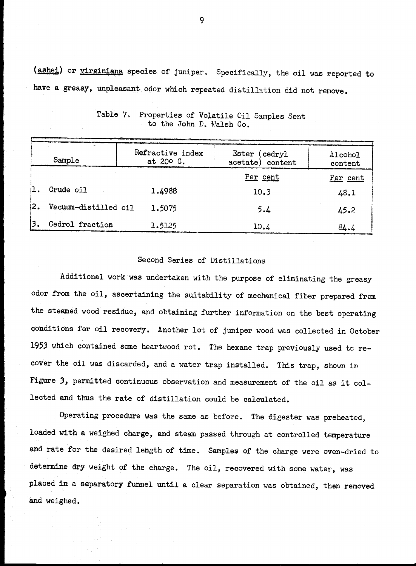(ashei) or virginiana species of juniper. Specifically, the oil was reported to have a greasy, unpleasant odor which repeated distillation did not remove.

| Sample                      | Refractive index<br>at 200 C. | Ester (cedryl)<br>acetate) content | Alcohol<br>content |
|-----------------------------|-------------------------------|------------------------------------|--------------------|
|                             |                               | Per cent                           | Per cent           |
| i1.<br>Crude oil            | 1.4988                        | 10.3                               | 48.1               |
| 12.<br>Vacuum-distilled oil | 1.5075                        | 5.4                                | 45.2               |
| 3.<br>Cedrol fraction       | 1.5125                        | 10.4                               | 84.4               |

Table 7, Properties of Volatile Oil Samples Sent to the John D, Walsh Co.

### Second Series of Distillations

Additional work was undertaken with the purpose of eliminating the greasy odor from the oil, ascertaining the suitability of mechanical fiber prepared from the steamed wood residue, and obtaining further information on the best operating conditions for oil recovery. Another lot of juniper wood was collected in October 1953 which contained some heartwood rot. The hexane trap previously used to re cover the oil was discarded, and a water trap installed. This trap, shown in Figure 3, permitted continuous observation and measurement of the oil as it collected and thus the rate of distillation could be calculated.

Operating procedure was the same as before. The digester was preheated, loaded with a weighed charge, and steam passed through at controlled temperature and rate for the desired length of time. Samples of the charge were oven-dried to determine dry weight of the charge. The oil, recovered with some water, was placed in a separatory funnel until a clear separation was obtained, then removed and weighed.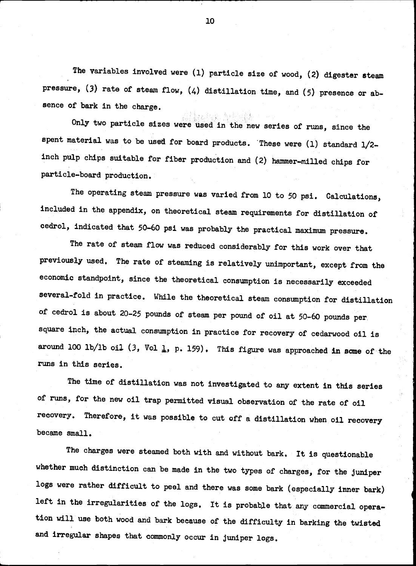The variables involved were (1) particle size of wood, (2) digester steam pressure, (3) rate of steam flow, (4) distillation time, and (5) presence or absence of bark in the charge.

Only two particle sizes were used in the new series of runs, since the spent material was to be used for board products. These were (1) standard 1/2 inch pulp chips suitable for fiber production and (2) hammer-milled chips for particle-board production.

The operating steam pressure was varied from 10 to 50 psi. Calculations, included in the appendix, on theoretical steam requirements for distillation of cedrol, indicated that 50-60 psi was probably the practical maximum pressure.

The rate of steam flow was reduced considerably for this work over that previously used. The rate of steaming is relatively unimportant, except from the economic standpoint, since the theoretical consumption is necessarily exceeded several-fold in practice. While the theoretical steam consumption for distillation of cedrol is about 20-25 pounds of steam per pound of oil at 50-60 pounds per. square inch, the actual consumption in practice for recovery of cedarwood oil is around 100 lb/lb oil (3, Vol  $\downarrow$ , p. 159). This figure was approached in some of the runs in this series.

The time of distillation was not investigated to any extent in this series of runs, for the new oil trap permitted visual observation of the rate of oil recovery. Therefore, it was possible to cut off a distillation when oil recovery became small.

The charges were steamed both with and without bark. It is questionable whether much distinction can be made in the two types of charges, for the juniper logs were rather difficult to peel and there was some bark (especially inner bark) left in the irregularities of the logs. It is probable that any commercial operation will use both wood and bark because of the difficulty in barking the twisted and irregular shapes that commonly occur in juniper logs.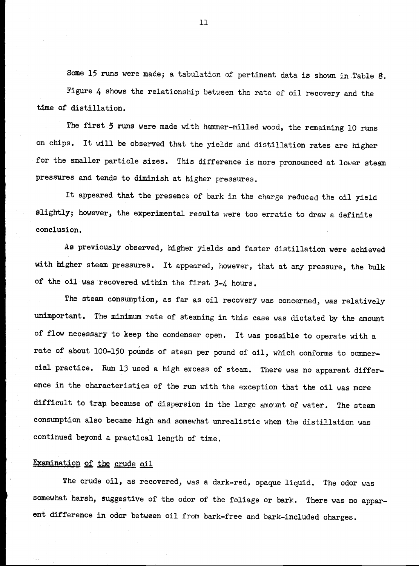Some 15 runs were made; a tabulation of pertinent data is shown in Table 8. Figure 4 shows the relationship between the rate of oil recovery and the time of distillation.

The first 5 runs were made with hammer-milled wood, the remaining 10 runs on chips. It will be observed that the yields and distillation rates are higher for the smaller particle sizes. This difference is more pronounced at lower steam pressures and tends to diminish at higher pressures.

It appeared that the presence of bark in the charge reduced the oil yield slightly; however, the experimental results were too erratic to draw a definite conclusion.

As previously observed, higher yields and faster distillation were achieved with higher steam pressures. It appeared, however, that at any pressure, the bulk of the oil was recovered within the first 3-4 hours.

The steam consumption, as far as oil recovery was concerned, was relatively unimportant. The minimum rate of steaming in this case was dictated by the amount of flow necessary to keep the condenser open. It was possible to operate with a rate of about 100-150 pounds of steam per pound of oil, which conforms to commercial practice. Run 13 used a high excess of steam. There was no apparent difference in the characteristics of the run with the exception that the oil was more difficult to trap because of dispersion in the large amount of water. The steam consumption also became high and somewhat unrealistic when the distillation was continued beyond a practical length of time.

### Examination of the crude oil

The crude oil, as recovered, was a dark-red, opaque liquid. The odor was somewhat harsh, suggestive of the odor of the foliage or bark. There was no apparent difference in odor between oil from bark-free and bark-included charges.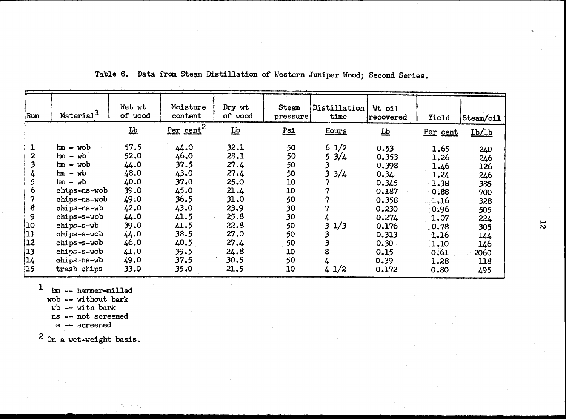| Per cent <sup>2</sup><br>$\underline{\mathbf{L}}\underline{\mathbf{b}}$<br>$\overline{\mathbf{r}}$<br>$Psi$<br>Hours<br>$\overline{\mathbf{P}}$<br>Lb/1b<br>Per cent<br>57.5<br>44.0<br>32.1<br>$hm - wob$<br>1/2<br>50<br>6<br>0.53<br>1.65<br>240<br>28.1<br>$hm - wb$<br>52.0<br>46.0<br>50<br>5<br>3/4<br>0.353<br>1.26<br>246<br>3<br>44.0<br>27.4<br>$hm - wob$<br>37.5<br>50<br>0.398<br>1.46<br>126<br>3<br>48.0<br>3/4<br>$hm - wb$<br>43.0<br>27.4<br>50<br>0.34<br>1.24<br>246<br>40.0<br>7<br>37.0<br>25.0<br>$hm - wb$<br>10<br>0.345<br>1.38<br>385<br>39.0<br>7<br>chips-ns-wob<br>45.0<br>21.4<br>10<br>0.187<br>0.88<br>700<br>$\overline{7}$<br>49.0<br>36.5<br>31.0<br>50<br>chips-ns-wob<br>0.358<br>1.16<br>328<br>42.0<br>7<br>23.9<br>chips-ns-wb<br>43.0<br>30<br>0.230<br>0.96<br>505<br>44.0<br>25.8<br>41.5<br>chips-s-wob<br>30<br>0.274<br>4<br>1.07<br>224<br>39.0<br>22.8<br>3<br>1/3<br>41.5<br>chips-s-wb<br>50<br>0.176<br>0.78<br>305<br>27.0<br>44.0<br>38.5<br>chips-s-wob<br>50<br>3<br>0.313<br>1.16<br>144<br>46.0<br>27.4<br>3<br>chips-s-wob<br>40.5<br>50<br>0.30<br>1.10<br>146<br>$\boxed{13}$<br>8<br>41.0<br>24.8<br>chips-s-wob<br>39.5<br>10<br>0.15<br>0.61<br>2060<br>14<br>49.0<br>37.5<br>chips-ns-wb<br>30.5<br>50<br>4<br>0.39<br>1.28<br>118<br> 15 <br>33.0<br>35.0<br>21.5<br>$4 \frac{1}{2}$<br>trash chips<br>10<br>0.172<br>0.80<br>495<br>1<br>hm -- hammer-milled<br>wob --- without bark<br>$wb$ -- with bark<br>ns -- not screened<br>s -- screened<br>$2$ On a wet-weight basis. | Run                     | Material <sup>1</sup> | Wet wt<br>of wood | Moisture<br>content | Dry wt<br>of wood | Steam<br>pressure | Distillation<br>time | Wt oil<br>recovered | Yield | Steam/oil |
|----------------------------------------------------------------------------------------------------------------------------------------------------------------------------------------------------------------------------------------------------------------------------------------------------------------------------------------------------------------------------------------------------------------------------------------------------------------------------------------------------------------------------------------------------------------------------------------------------------------------------------------------------------------------------------------------------------------------------------------------------------------------------------------------------------------------------------------------------------------------------------------------------------------------------------------------------------------------------------------------------------------------------------------------------------------------------------------------------------------------------------------------------------------------------------------------------------------------------------------------------------------------------------------------------------------------------------------------------------------------------------------------------------------------------------------------------------------------------------------------------------------------------------------------------|-------------------------|-----------------------|-------------------|---------------------|-------------------|-------------------|----------------------|---------------------|-------|-----------|
|                                                                                                                                                                                                                                                                                                                                                                                                                                                                                                                                                                                                                                                                                                                                                                                                                                                                                                                                                                                                                                                                                                                                                                                                                                                                                                                                                                                                                                                                                                                                                    |                         |                       |                   |                     |                   |                   |                      |                     |       |           |
|                                                                                                                                                                                                                                                                                                                                                                                                                                                                                                                                                                                                                                                                                                                                                                                                                                                                                                                                                                                                                                                                                                                                                                                                                                                                                                                                                                                                                                                                                                                                                    | 1                       |                       |                   |                     |                   |                   |                      |                     |       |           |
|                                                                                                                                                                                                                                                                                                                                                                                                                                                                                                                                                                                                                                                                                                                                                                                                                                                                                                                                                                                                                                                                                                                                                                                                                                                                                                                                                                                                                                                                                                                                                    | $\overline{\mathbf{c}}$ |                       |                   |                     |                   |                   |                      |                     |       |           |
|                                                                                                                                                                                                                                                                                                                                                                                                                                                                                                                                                                                                                                                                                                                                                                                                                                                                                                                                                                                                                                                                                                                                                                                                                                                                                                                                                                                                                                                                                                                                                    | 3                       |                       |                   |                     |                   |                   |                      |                     |       |           |
|                                                                                                                                                                                                                                                                                                                                                                                                                                                                                                                                                                                                                                                                                                                                                                                                                                                                                                                                                                                                                                                                                                                                                                                                                                                                                                                                                                                                                                                                                                                                                    | 4                       |                       |                   |                     |                   |                   |                      |                     |       |           |
|                                                                                                                                                                                                                                                                                                                                                                                                                                                                                                                                                                                                                                                                                                                                                                                                                                                                                                                                                                                                                                                                                                                                                                                                                                                                                                                                                                                                                                                                                                                                                    | 5                       |                       |                   |                     |                   |                   |                      |                     |       |           |
|                                                                                                                                                                                                                                                                                                                                                                                                                                                                                                                                                                                                                                                                                                                                                                                                                                                                                                                                                                                                                                                                                                                                                                                                                                                                                                                                                                                                                                                                                                                                                    | 6                       |                       |                   |                     |                   |                   |                      |                     |       |           |
|                                                                                                                                                                                                                                                                                                                                                                                                                                                                                                                                                                                                                                                                                                                                                                                                                                                                                                                                                                                                                                                                                                                                                                                                                                                                                                                                                                                                                                                                                                                                                    | 7                       |                       |                   |                     |                   |                   |                      |                     |       |           |
|                                                                                                                                                                                                                                                                                                                                                                                                                                                                                                                                                                                                                                                                                                                                                                                                                                                                                                                                                                                                                                                                                                                                                                                                                                                                                                                                                                                                                                                                                                                                                    | 8                       |                       |                   |                     |                   |                   |                      |                     |       |           |
|                                                                                                                                                                                                                                                                                                                                                                                                                                                                                                                                                                                                                                                                                                                                                                                                                                                                                                                                                                                                                                                                                                                                                                                                                                                                                                                                                                                                                                                                                                                                                    | 9                       |                       |                   |                     |                   |                   |                      |                     |       |           |
|                                                                                                                                                                                                                                                                                                                                                                                                                                                                                                                                                                                                                                                                                                                                                                                                                                                                                                                                                                                                                                                                                                                                                                                                                                                                                                                                                                                                                                                                                                                                                    | 10                      |                       |                   |                     |                   |                   |                      |                     |       |           |
|                                                                                                                                                                                                                                                                                                                                                                                                                                                                                                                                                                                                                                                                                                                                                                                                                                                                                                                                                                                                                                                                                                                                                                                                                                                                                                                                                                                                                                                                                                                                                    | 11                      |                       |                   |                     |                   |                   |                      |                     |       |           |
|                                                                                                                                                                                                                                                                                                                                                                                                                                                                                                                                                                                                                                                                                                                                                                                                                                                                                                                                                                                                                                                                                                                                                                                                                                                                                                                                                                                                                                                                                                                                                    | 12                      |                       |                   |                     |                   |                   |                      |                     |       |           |
|                                                                                                                                                                                                                                                                                                                                                                                                                                                                                                                                                                                                                                                                                                                                                                                                                                                                                                                                                                                                                                                                                                                                                                                                                                                                                                                                                                                                                                                                                                                                                    |                         |                       |                   |                     |                   |                   |                      |                     |       |           |
|                                                                                                                                                                                                                                                                                                                                                                                                                                                                                                                                                                                                                                                                                                                                                                                                                                                                                                                                                                                                                                                                                                                                                                                                                                                                                                                                                                                                                                                                                                                                                    |                         |                       |                   |                     |                   |                   |                      |                     |       |           |
|                                                                                                                                                                                                                                                                                                                                                                                                                                                                                                                                                                                                                                                                                                                                                                                                                                                                                                                                                                                                                                                                                                                                                                                                                                                                                                                                                                                                                                                                                                                                                    |                         |                       |                   |                     |                   |                   |                      |                     |       |           |
|                                                                                                                                                                                                                                                                                                                                                                                                                                                                                                                                                                                                                                                                                                                                                                                                                                                                                                                                                                                                                                                                                                                                                                                                                                                                                                                                                                                                                                                                                                                                                    |                         |                       |                   |                     |                   |                   |                      |                     |       |           |
|                                                                                                                                                                                                                                                                                                                                                                                                                                                                                                                                                                                                                                                                                                                                                                                                                                                                                                                                                                                                                                                                                                                                                                                                                                                                                                                                                                                                                                                                                                                                                    |                         |                       |                   |                     |                   |                   |                      |                     |       |           |
|                                                                                                                                                                                                                                                                                                                                                                                                                                                                                                                                                                                                                                                                                                                                                                                                                                                                                                                                                                                                                                                                                                                                                                                                                                                                                                                                                                                                                                                                                                                                                    |                         |                       |                   |                     |                   |                   |                      |                     |       |           |
|                                                                                                                                                                                                                                                                                                                                                                                                                                                                                                                                                                                                                                                                                                                                                                                                                                                                                                                                                                                                                                                                                                                                                                                                                                                                                                                                                                                                                                                                                                                                                    |                         |                       |                   |                     |                   |                   |                      |                     |       |           |

言 いふとうしょく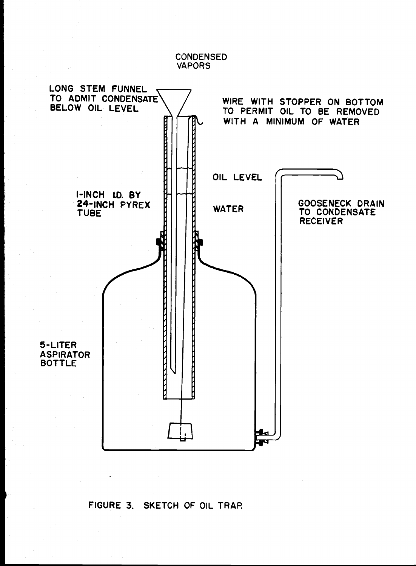VAPORS LONG STEM FUNNEL TO ADMIT CONDENSATE WIRE WITH STOPPER ON BOTTOM BELOW OIL LEVEL TO PERMIT OIL TO BE REMOVED WITH A MINIMUM OF WATER OIL LEVEL I-INCH I.D. BY 24-INCH PYREX GOOSENECK DRAIN **WATER** TO CONDENSATE TUBE RECEIVERE 5-LiTER ASPIRATOR BOTTLE

# FIGURE 3. SKETCH OF OIL TRAR

**CONDENSED**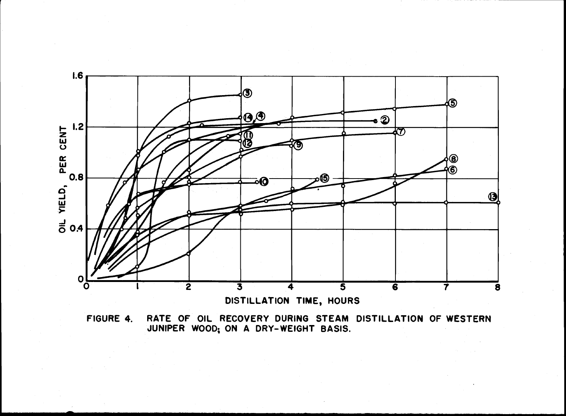

FIGURE 4. RATE OF OIL RECOVERY DURING STEAM DISTILLATION OF WESTERN<br>JUNIPER WOOD, ON A DRY-WEIGHT BASIS.<br>The Matter of Data Data Resisters of Matter and Matter and Matter and Matter and Matter and Matter and Matter JUNIPER WOOD; ON A DRY-WEIGHT BASIS.<br>And the state of the state of the state of the state of the state of the state of the state of the state of the state of the state of the state of the state of the state of the state of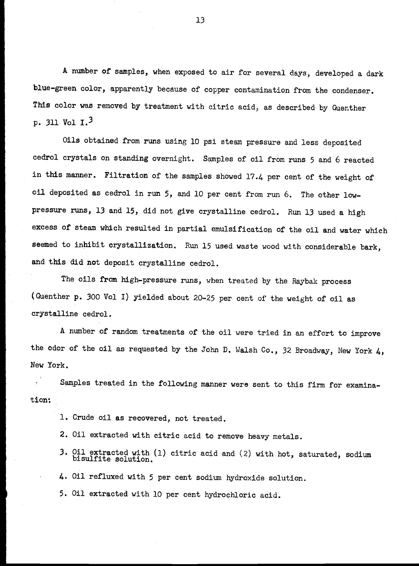A number of samples, when exposed to air for several days, developed a dark blue-green color, apparently because of copper contamination from the condenser. This color was removed by treatment with citric acid, as described by Guenther p. 311 Vol  $I.^3$ 

Oils obtained from runs using 10 psi steam pressure and less deposited cedrol crystals on standing overnight. Samples of oil from runs 5 and 6 reacted in this manner. Filtration of the samples showed 17.4 per cent of the weight of oil deposited as cedrol in run 5, and 10 per cent from run 6. The other lowpressure runs, 13 and 15, did not give crystalline cedrol. Run 13 used a high excess of steam which resulted in partial emulsification of the oil and water which seemed to inhibit crystallization. Run 15 used waste wood with considerable bark, and this did not deposit crystalline cedrol,

The oils from high-pressure runs, when treated by the Raybak process (Guenther p. 300 Vol I) yielded about 20-25 per cent of the weight of oil as crystalline cedrol.

A number of random treatments of the oil were tried in an effort to improve the odor of the oil as requested by the John D. Walsh Co., 32 Broadway, New York 4, New York.

Samples treated in the following manner were sent to this firm for examination:

- 1. Crude oil as recovered, not treated.
- 2. Oil extracted with citric acid to remove heavy metals.
- Oil extracted with (1) citric acid and (2) with hot, saturated, sodium bisulfite solution.

Oil refluxed with 5 per cent sodium hydroxide solution.

5, Oil extracted with 10 per cent hydrochloric acid.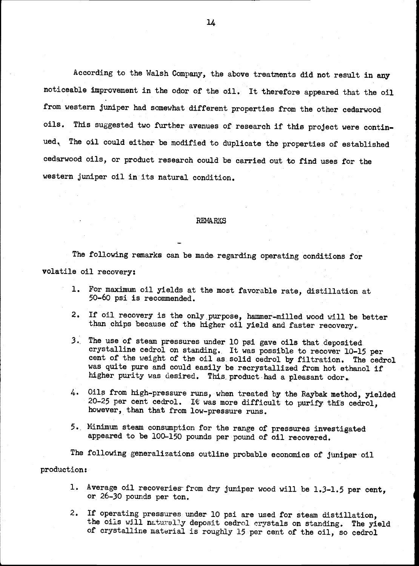According to the Walsh Company, the above treatments did not result in any noticeable improvement in the odor of the oil. It therefore appeared that the oil from western juniper had somewhat different properties from the other cedarwood oils. This suggested two further avenues of research if this project were continued. The oil could either be modified to duplicate the properties of established cedarwood oils, or product research could be carried out to find uses for the western juniper oil in its natural condition.

#### **REMARKS**

The following remarks can be made regarding operating conditions for volatile oil recovery:

- For maximum oil yields at the most favorable rate, distillation at 50-60 psi is recommended.
- $2.$ If oil recovery is the only purpose, hammer-milled wood will be better than chips because of the higher oil yield and faster recovery..
- The use of steam pressures under 10 psi gave oils that deposited  $3.$ crystalline cedrol on standing. It was possible to recover 10-15 per cent of the weight of the oil as solid cedrol by filtration. The cedrol was quite pure and could easily be recrystallized from hot ethanol if higher purity was desired. This product had a pleasant odor.
- $4.$ Oils from high-pressure runs, when treated by the Raybak method, yielded 20-25 per cent cedrol. It was more difficult to purify this cedrol, however, than that from low-pressure runs.
- 5. Minimum steam consumption for the range of pressures investigated appeared to be 100-150 pounds per pound of oil recovered.

The following generalizations outline probable economics of juniper oil production:

- 1. Average oil recoveries from dry juniper wood will be 1.3-1.5 per cent, or 26-30 pounds per ton.
- $2.$ If operating pressures under 10 psi are used for steam distillation, the oils will naturally deposit cedrol crystals on standing. The yield of crysta11ire material is roughly 15 per cent of the oil, so cedrol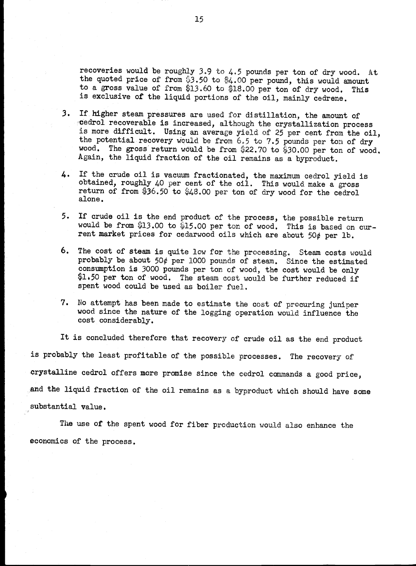recoveries would be roughly 3.9 to 4,5 pounds per ton of dry wood. At the quoted price of from  $3.50$  to  $4.00$  per pound, this would amount to a gross value of from \$13.60 to \$18.00 per ton of dry wood. This is exclusive of the liquid portions of the oil, mainly cedrene.

- 3. If higher steam pressures are used for distillation, the amount of cedrol recoverable is increased, although the crystallization process is more difficult. Using an average yield of 25 per cent from the oil, the potential recovery would be from  $6.5$  to 7.5 pounds per ton of dry wood. The gross return would be from \$22.70 to \$30.00 per ton of wood. Again, the liquid fraction of the oil remains as a byproduct.
- If the crude oil is vacuum fractionated, the maximum cedrol yield is obtained, roughly 40 per cent of the oil. This would make a gross return of from \$36.50 to \$48.00 per ton of dry wood for the cedrol alone.  $\mathbf{L}$ .
- If crude oil is the end product of the process, the possible return would be from \$13.00 to \$15.00 per ton of wood. This is based on current market prices for cedarwood oils which are about  $50¢$  per lb.
- 6. The cost of steam is quite low for the processing. Steam costs would probably be about 50 $\phi$  per 1000 pounds of steam. Since the estimated consumption is 3000 pounds per ton of wood, the cost would be only \$1.50 per ton of wood. The steam cost would be further reduced if spent wood could be used as boiler fuel.
- 7. No attempt has been made to estimate the cost of procuring juniper wood since the nature of the logging operation would influence the cost considerably.

It is concluded therefore that recovery of crude oil as the end product is probably the least profitable of the possible processes. The recovery of crysta11ine cedrol offers more promise since the cedrol commands a good price, and the liquid fraction of the oil remains as a byproduct which should have some substantial value.

The use of the spent wood for fiber production would also enhance the economics of the process.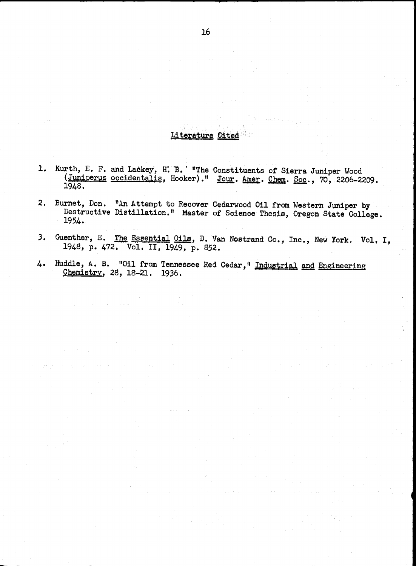## Literature Cited

- Kurth, E. F. and Lackey, H. B. "The Constituents of Sierra Juniper Wood (Juniperus <u>occidentalis</u>, Hooker)." <u>Jour. Amer. Chem</u>. <u>Soc</u>., 70, 2206-2209. 1948.
- 2. Burnet, Don. "An Attempt to Recover Cedarwood Oil from Western Juniper by Destructive Distillation." Master of Science Thesis, Oregon State College. 1954.
- Guenther, E. The Essential Oils, D. Van Nostrand Co., Inc., New York. Vol. I, 1948, p. 472. Vol. II, 1949, p. 852.  $3.$
- Huddle, A. B. "Oil from Tennessee Red Cedar," Industrial and Engineering 4. Chemistry, 28, 18-21. 1936.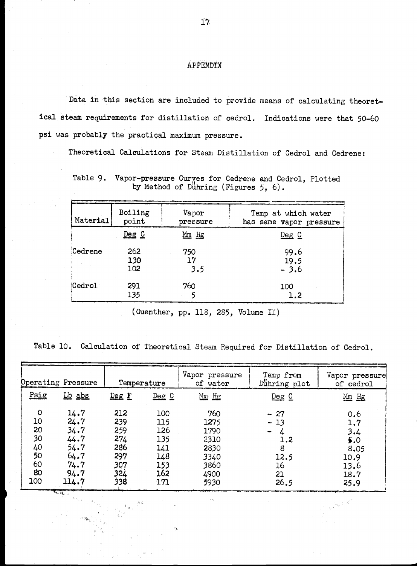### **APPENDIX**

Data in this section are included to provide means of calculating theoretical steam requirements for distillation of cedrol. Indications were that 50-60 psi was probably the practioal maximum pressure.

Theoretical Calculations for Steam Distillation of Cedrol and Cedrene:

Table 9. Vapor-pressure Curçes for Cedrene and Cedrol, Plotted by Method of Dühring (Figures 5, 6).

| Material | Boiling    | Vapor    | Temp at which water     |
|----------|------------|----------|-------------------------|
|          | point      | pressure | has same vapor pressure |
|          | $De$ g $C$ | $Mm$ Hg  | $Deg$ $C$               |
| Cedrene  | 262        | 750      | 99.6                    |
|          | 130        | 17       | 19.5                    |
|          | 102        | 3.5      | $-3.6$                  |
| Cedrol   | 291        | 760      | 100                     |
|          | 135        | 5        | 1.2                     |

(Guenther, pp. 118, 285, Volume II)

Table 10. Calculation of Theoretical Steam Required for Distillation of Cedrol.

|         | Operating Pressure |       | Temperature | Vapor pressure<br>of water | Temp from<br>Dunning plot | Vapor pressure<br>of cedrol |
|---------|--------------------|-------|-------------|----------------------------|---------------------------|-----------------------------|
| Psig    | Lb abs             | Deg F | $Dec C$     | $Mm$ Hg                    | $Deg$ $C$                 | Mm Hg                       |
| $\circ$ | 14.7               | 212   | 100         | 760                        | $-27$                     | 0.6                         |
| 10      | 24.7               | 239   | 115         | 1275                       | $-13$                     | 1.7                         |
| 20      | 34.7               | 259   | 126         | 1790                       | $\blacksquare$            | 3.4                         |
| 30      | 44.7               | 274   | 135         | 2310                       | 1.2                       | 5.0                         |
| 40      | 54.7               | 286   | 141         | 2830                       | 8                         | 8.05                        |
| 50      | 64.7               | 297   | 148         | 3340                       | 12.5                      | 10.9                        |
| 60      | 74.7               | 307   | 153         | 3860                       | 16                        | 13.6                        |
| 80      | 94.7               | 324   | 162         | 4900                       | 21                        | 18.7                        |
| 100     | 114.7              | 338   | 171         | 5930                       | 26,5                      | 25.9                        |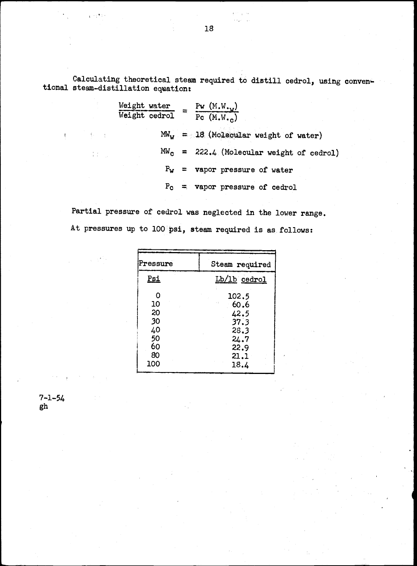Calculating theoretical steam required to distill cedrol, using conventional steam-distillation equation:

Weight water  
\nWeight cedrol = 
$$
\frac{P_W (M.W._W)}{P_C (M.W._C)}
$$
  
\n $MW_W = 18$  (Molecular weight of water)  
\n $MW_C = 222.4$  (Molecular weight of cedrol)  
\n $P_W =$  vapor pressure of water  
\n $P_C =$  vapor pressure of cedrol

Partial pressure of cedrol was neglected in the lower range. At pressures up to 100 psi, steam required is as follows:

| Pressure   | Steam required      |
|------------|---------------------|
| <u>Psi</u> | Lb/1b cedrol        |
| O          | 102.5               |
| 10<br>20   | 60.6<br>o p<br>42.5 |
| 30         | 37.3                |
| 40<br>50   | 28.3<br>24.7        |
| 60<br>80   | 22.9                |
| 100        | 21.1<br>18.4        |

7-1-54 gh

 $\mathbf{r} \sim \sqrt{2\pi}$ 

 $\{1,\ldots,n\}$ 

 $\frac{1}{4}$  ,  $\frac{1}{4}$  ,  $\frac{1}{4}$  ,  $\frac{1}{4}$ 

 $\frac{1}{2}$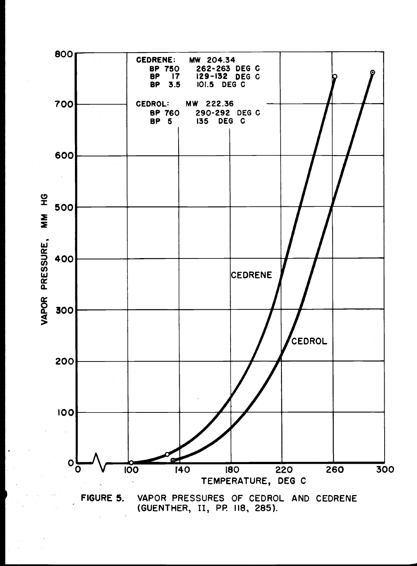

FIGURE 5. VAPOR PRESSURES OF CEDROL AND CEDRENE (GUENTHER, II, PP 118., 285).